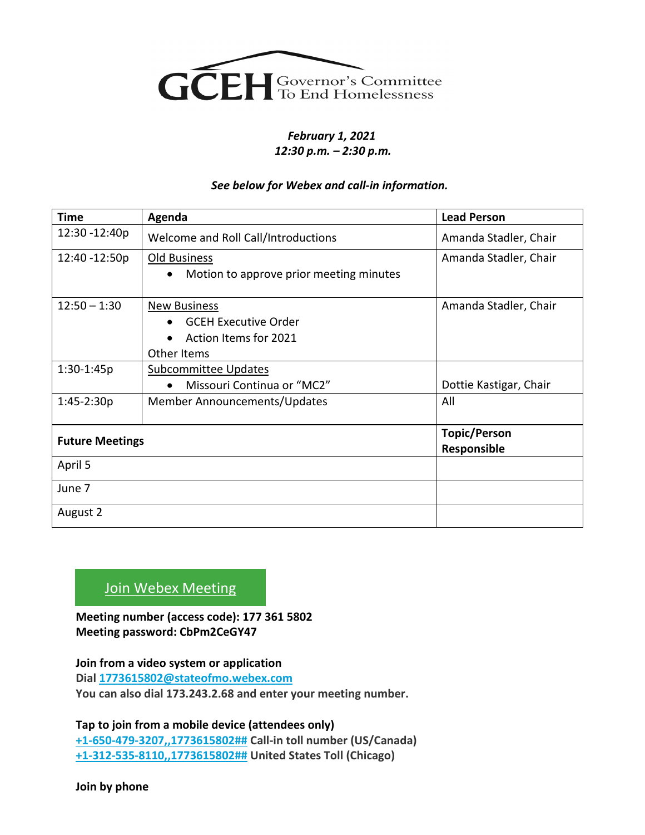

## *February 1, 2021 12:30 p.m. – 2:30 p.m.*

## *See below for Webex and call-in information.*

| <b>Time</b>            | Agenda                                                                                                  | <b>Lead Person</b>                 |
|------------------------|---------------------------------------------------------------------------------------------------------|------------------------------------|
| 12:30 - 12:40p         | Welcome and Roll Call/Introductions                                                                     | Amanda Stadler, Chair              |
| 12:40 -12:50p          | <b>Old Business</b><br>Motion to approve prior meeting minutes                                          | Amanda Stadler, Chair              |
| $12:50 - 1:30$         | <b>New Business</b><br><b>GCEH Executive Order</b><br>Action Items for 2021<br>$\bullet$<br>Other Items | Amanda Stadler, Chair              |
| $1:30-1:45p$           | <b>Subcommittee Updates</b><br>Missouri Continua or "MC2"<br>$\bullet$                                  | Dottie Kastigar, Chair             |
| $1:45-2:30p$           | Member Announcements/Updates                                                                            | All                                |
| <b>Future Meetings</b> |                                                                                                         | <b>Topic/Person</b><br>Responsible |
| April 5                |                                                                                                         |                                    |
| June 7                 |                                                                                                         |                                    |
| August 2               |                                                                                                         |                                    |

## [Join Webex Meeting](https://stateofmo.webex.com/stateofmo/j.php?MTID=m3954c9f3c222f19147e426aaf6b89a3e)

**Meeting number (access code): 177 361 5802 Meeting password: CbPm2CeGY47**

**Join from a video system or application Dial [1773615802@stateofmo.webex.com](sip:1773615802@stateofmo.webex.com) You can also dial 173.243.2.68 and enter your meeting number.**

**Tap to join from a mobile device (attendees only) [+1-650-479-3207,,1773615802##](tel:%2B1-650-479-3207,,*01*1773615802%23%23*01*) Call-in toll number (US/Canada) [+1-312-535-8110,,1773615802##](tel:%2B1-312-535-8110,,*01*1773615802%23%23*01*) United States Toll (Chicago)**

**Join by phone**